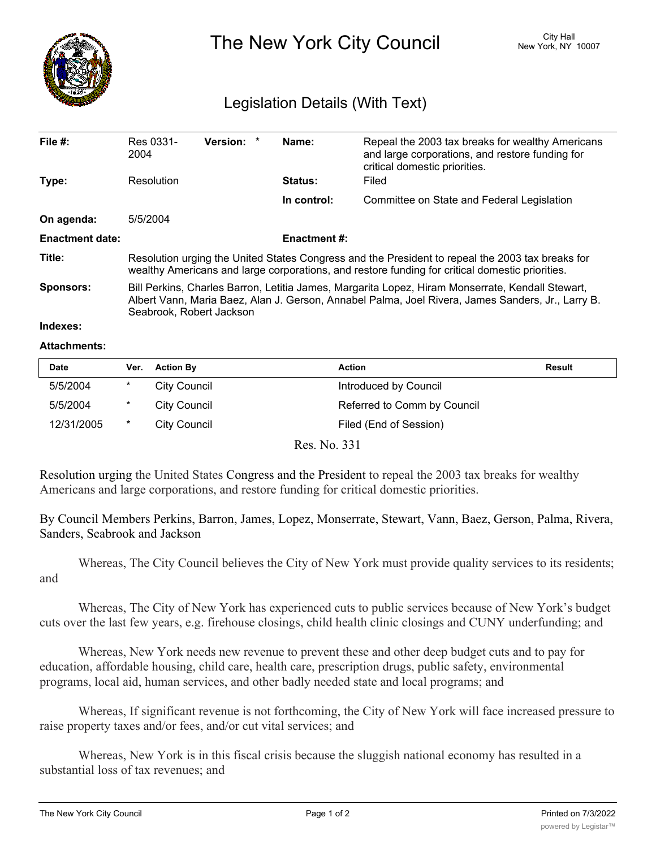

The New York City Council New York, NY 10007

## Legislation Details (With Text)

| File $#$ :             | Res 0331-<br>2004                                                                                                                                                                                                                 | Version: * |  | Name:          | Repeal the 2003 tax breaks for wealthy Americans<br>and large corporations, and restore funding for<br>critical domestic priorities. |  |  |  |
|------------------------|-----------------------------------------------------------------------------------------------------------------------------------------------------------------------------------------------------------------------------------|------------|--|----------------|--------------------------------------------------------------------------------------------------------------------------------------|--|--|--|
| Type:                  | Resolution                                                                                                                                                                                                                        |            |  | <b>Status:</b> | Filed                                                                                                                                |  |  |  |
|                        |                                                                                                                                                                                                                                   |            |  | In control:    | Committee on State and Federal Legislation                                                                                           |  |  |  |
| On agenda:             | 5/5/2004                                                                                                                                                                                                                          |            |  |                |                                                                                                                                      |  |  |  |
| <b>Enactment date:</b> | <b>Enactment #:</b>                                                                                                                                                                                                               |            |  |                |                                                                                                                                      |  |  |  |
| Title:                 | Resolution urging the United States Congress and the President to repeal the 2003 tax breaks for<br>wealthy Americans and large corporations, and restore funding for critical domestic priorities.                               |            |  |                |                                                                                                                                      |  |  |  |
| <b>Sponsors:</b>       | Bill Perkins, Charles Barron, Letitia James, Margarita Lopez, Hiram Monserrate, Kendall Stewart,<br>Albert Vann, Maria Baez, Alan J. Gerson, Annabel Palma, Joel Rivera, James Sanders, Jr., Larry B.<br>Seabrook, Robert Jackson |            |  |                |                                                                                                                                      |  |  |  |
| Indexes:               |                                                                                                                                                                                                                                   |            |  |                |                                                                                                                                      |  |  |  |

## **Attachments:**

| <b>Date</b> | Ver.   | <b>Action By</b> | <b>Action</b>               | <b>Result</b> |
|-------------|--------|------------------|-----------------------------|---------------|
| 5/5/2004    | $\ast$ | City Council     | Introduced by Council       |               |
| 5/5/2004    | $\ast$ | City Council     | Referred to Comm by Council |               |
| 12/31/2005  | *      | City Council     | Filed (End of Session)      |               |

Res. No. 331

Resolution urging the United States Congress and the President to repeal the 2003 tax breaks for wealthy Americans and large corporations, and restore funding for critical domestic priorities.

By Council Members Perkins, Barron, James, Lopez, Monserrate, Stewart, Vann, Baez, Gerson, Palma, Rivera, Sanders, Seabrook and Jackson

Whereas, The City Council believes the City of New York must provide quality services to its residents; and

Whereas, The City of New York has experienced cuts to public services because of New York's budget cuts over the last few years, e.g. firehouse closings, child health clinic closings and CUNY underfunding; and

Whereas, New York needs new revenue to prevent these and other deep budget cuts and to pay for education, affordable housing, child care, health care, prescription drugs, public safety, environmental programs, local aid, human services, and other badly needed state and local programs; and

Whereas, If significant revenue is not forthcoming, the City of New York will face increased pressure to raise property taxes and/or fees, and/or cut vital services; and

Whereas, New York is in this fiscal crisis because the sluggish national economy has resulted in a substantial loss of tax revenues; and